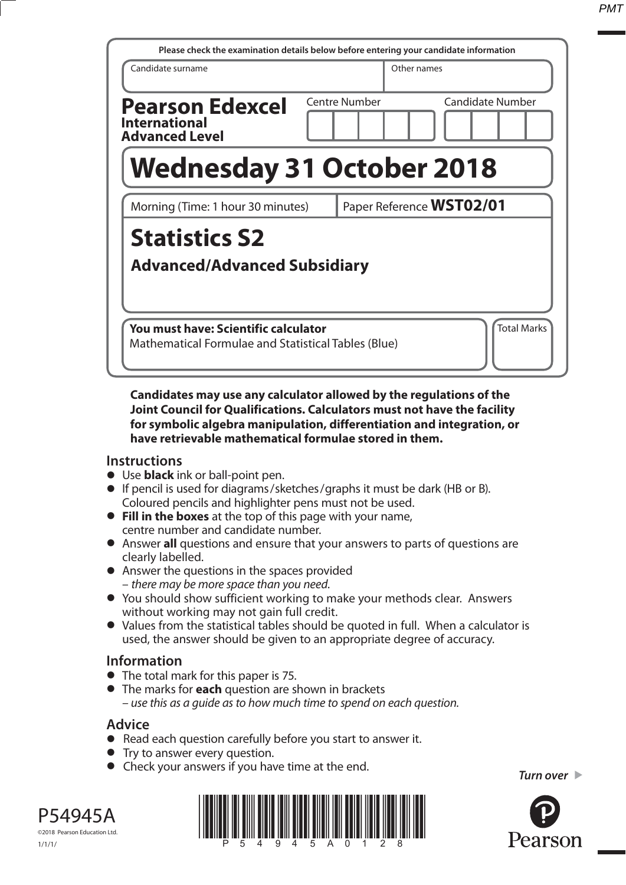| Please check the examination details below before entering your candidate information       |                                   |  |  |
|---------------------------------------------------------------------------------------------|-----------------------------------|--|--|
| Candidate surname                                                                           | Other names                       |  |  |
| <b>Pearson Edexcel</b><br><b>International</b><br><b>Advanced Level</b>                     | Centre Number<br>Candidate Number |  |  |
| <b>Wednesday 31 October 2018</b>                                                            |                                   |  |  |
| Paper Reference WST02/01<br>Morning (Time: 1 hour 30 minutes)                               |                                   |  |  |
| <b>Statistics S2</b><br><b>Advanced/Advanced Subsidiary</b>                                 |                                   |  |  |
| You must have: Scientific calculator<br>Mathematical Formulae and Statistical Tables (Blue) | <b>Total Marks</b>                |  |  |

## **Candidates may use any calculator allowed by the regulations of the Joint Council for Qualifications. Calculators must not have the facility for symbolic algebra manipulation, differentiation and integration, or have retrievable mathematical formulae stored in them.**

## **Instructions**

- **•** Use **black** ink or ball-point pen.
- **•** If pencil is used for diagrams/sketches/graphs it must be dark (HB or B). Coloured pencils and highlighter pens must not be used.
- **• Fill in the boxes** at the top of this page with your name, centre number and candidate number.
- **•** Answer **all** questions and ensure that your answers to parts of questions are clearly labelled.
- **•** Answer the questions in the spaces provided – there may be more space than you need.
- **•** You should show sufficient working to make your methods clear. Answers without working may not gain full credit.
- **•** Values from the statistical tables should be quoted in full. When a calculator is used, the answer should be given to an appropriate degree of accuracy.

## **Information**

- **•** The total mark for this paper is 75.
- **•** The marks for **each** question are shown in brackets – use this as a guide as to how much time to spend on each question.

## **Advice**

- **•** Read each question carefully before you start to answer it.
- **•** Try to answer every question.
- **•** Check your answers if you have time at the end.

*Turn over* 



©2018 Pearson Education Ltd.

P54945A

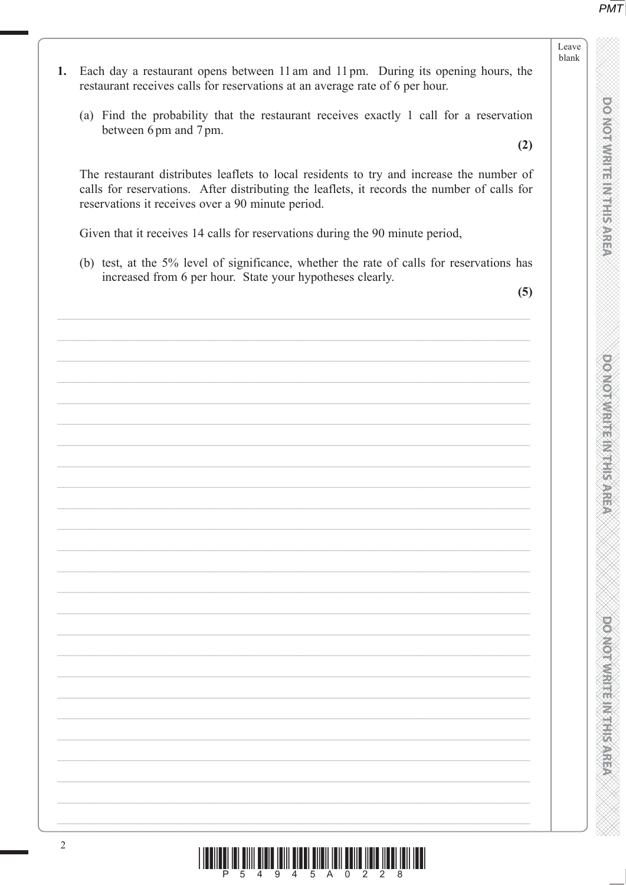**DO NOT WRITE INTHIS AREA** 

**DO NOT WRITE IN THIS AREA** 

**DO NOT WRITE IN THIS AREA** 

Leave

blank

- Each day a restaurant opens between 11 am and 11 pm. During its opening hours, the 1. restaurant receives calls for reservations at an average rate of 6 per hour.
	- (a) Find the probability that the restaurant receives exactly 1 call for a reservation between 6pm and 7pm.

 $(2)$ 

The restaurant distributes leaflets to local residents to try and increase the number of calls for reservations. After distributing the leaflets, it records the number of calls for reservations it receives over a 90 minute period.

Given that it receives 14 calls for reservations during the 90 minute period,

(b) test, at the 5% level of significance, whether the rate of calls for reservations has increased from 6 per hour. State your hypotheses clearly.

 $(5)$ 

| 2<br><u> I INDILAN INI KIILI HAN KUILI KUU KUU KUU INI KUU KUU ILEEL INDI INDI INDI</u> |  |
|-----------------------------------------------------------------------------------------|--|
|                                                                                         |  |
|                                                                                         |  |
|                                                                                         |  |
|                                                                                         |  |
|                                                                                         |  |
|                                                                                         |  |
|                                                                                         |  |
|                                                                                         |  |
|                                                                                         |  |
|                                                                                         |  |
|                                                                                         |  |
|                                                                                         |  |
|                                                                                         |  |
|                                                                                         |  |
|                                                                                         |  |
|                                                                                         |  |
|                                                                                         |  |
|                                                                                         |  |
|                                                                                         |  |
|                                                                                         |  |
|                                                                                         |  |
|                                                                                         |  |

 $\begin{array}{c|c|c|c|c|c|c|c|c} \hline & \text{min} & \text{min} & \text{min} & \text{min} & \text{min} & \text{min} & \text{min} & \text{min} & \text{min} & \text{min} \\ \hline & \text{min} & \text{min} & \text{min} & \text{min} & \text{min} & \text{min} & \text{min} & \text{min} & \text{min} & \text{min} & \text{min} & \text{min} & \text{min} & \text{min} & \text{min} & \text{min} & \text{min} & \text{min} & \text{min} & \text{min} & \text{min} & \text{$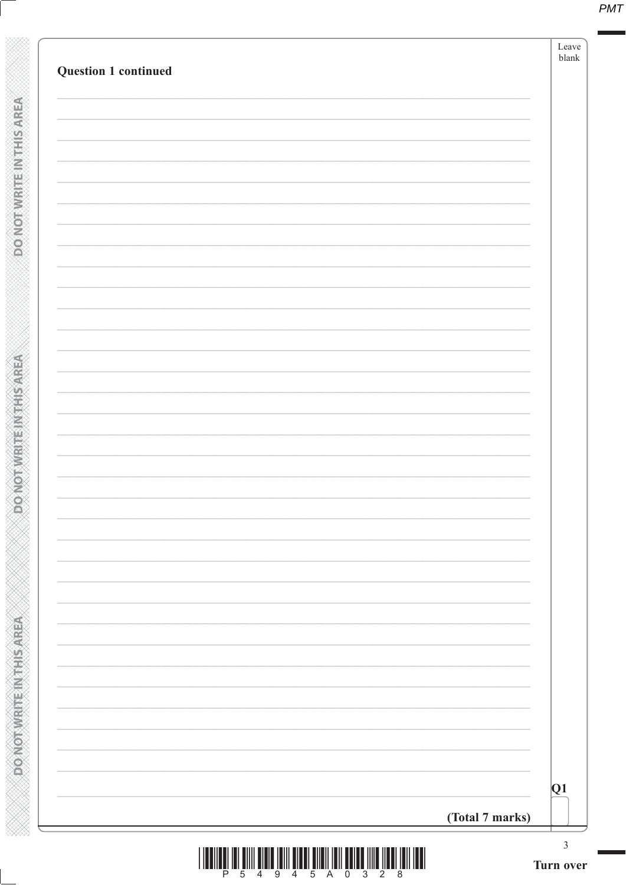| <b>Question 1 continued</b> |                 |
|-----------------------------|-----------------|
|                             |                 |
|                             |                 |
|                             |                 |
|                             |                 |
|                             |                 |
|                             |                 |
|                             |                 |
|                             |                 |
|                             |                 |
|                             |                 |
|                             |                 |
|                             |                 |
|                             |                 |
|                             |                 |
|                             |                 |
|                             |                 |
|                             |                 |
|                             |                 |
|                             |                 |
|                             |                 |
|                             |                 |
|                             |                 |
|                             |                 |
|                             |                 |
|                             |                 |
|                             |                 |
|                             |                 |
|                             |                 |
|                             |                 |
|                             |                 |
|                             |                 |
|                             | (Total 7 marks) |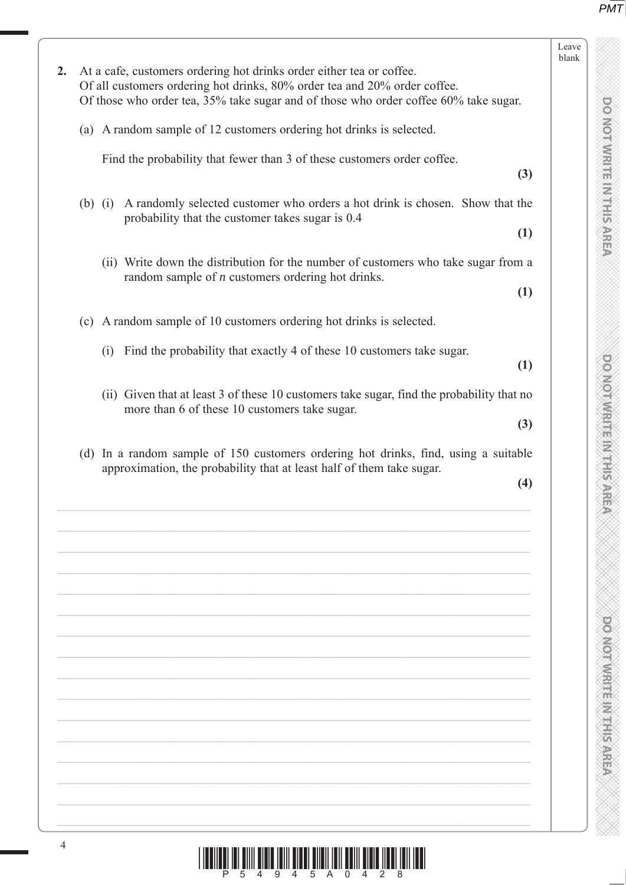| l                           |  |
|-----------------------------|--|
| Ĉ<br>š                      |  |
|                             |  |
| ×                           |  |
| ě                           |  |
| Š                           |  |
| à                           |  |
| ì<br>₩                      |  |
| ë                           |  |
| ņ                           |  |
| ê                           |  |
|                             |  |
|                             |  |
| í                           |  |
| i<br>V<br>Į<br>۱            |  |
| Þ                           |  |
| ĺ                           |  |
| É<br>۱                      |  |
|                             |  |
|                             |  |
|                             |  |
|                             |  |
|                             |  |
|                             |  |
|                             |  |
|                             |  |
|                             |  |
|                             |  |
|                             |  |
|                             |  |
|                             |  |
|                             |  |
|                             |  |
|                             |  |
| ۱                           |  |
|                             |  |
|                             |  |
|                             |  |
|                             |  |
|                             |  |
| l                           |  |
| ۱                           |  |
|                             |  |
|                             |  |
|                             |  |
|                             |  |
| Ä                           |  |
|                             |  |
|                             |  |
| ij,                         |  |
|                             |  |
|                             |  |
|                             |  |
|                             |  |
|                             |  |
|                             |  |
|                             |  |
|                             |  |
|                             |  |
|                             |  |
|                             |  |
|                             |  |
|                             |  |
| Ì                           |  |
| Ń<br>ú                      |  |
| ļ                           |  |
| ¥<br>I                      |  |
| J<br>I<br>ú<br>ł<br>š,<br>ś |  |
| é<br>ž                      |  |
| ×                           |  |
| ٦                           |  |
| ł<br>j<br>u                 |  |
| I                           |  |
| ×                           |  |
|                             |  |
| ŧ<br>ij                     |  |
| ì<br>×<br>ú<br>ì            |  |
|                             |  |
| Ý                           |  |
|                             |  |
| d<br>ú<br>à                 |  |

**DO NOT WERE MY THIS AREA** 

| At a cafe, customers ordering hot drinks order either tea or coffee.<br>2.<br>Of all customers ordering hot drinks, 80% order tea and 20% order coffee.<br>Of those who order tea, 35% take sugar and of those who order coffee 60% take sugar.<br>(a) A random sample of 12 customers ordering hot drinks is selected.<br>Find the probability that fewer than 3 of these customers order coffee.<br>(3)<br>(b) (i) A randomly selected customer who orders a hot drink is chosen. Show that the<br>probability that the customer takes sugar is 0.4<br>(1)<br>(ii) Write down the distribution for the number of customers who take sugar from a<br>random sample of $n$ customers ordering hot drinks.<br>(1)<br>(c) A random sample of 10 customers ordering hot drinks is selected.<br>Find the probability that exactly 4 of these 10 customers take sugar.<br>(i)<br>(1)<br>(ii) Given that at least 3 of these 10 customers take sugar, find the probability that no<br>more than 6 of these 10 customers take sugar.<br>(3)<br>(d) In a random sample of 150 customers ordering hot drinks, find, using a suitable<br>approximation, the probability that at least half of them take sugar.<br>(4) |  | Leave<br>blank |
|-------------------------------------------------------------------------------------------------------------------------------------------------------------------------------------------------------------------------------------------------------------------------------------------------------------------------------------------------------------------------------------------------------------------------------------------------------------------------------------------------------------------------------------------------------------------------------------------------------------------------------------------------------------------------------------------------------------------------------------------------------------------------------------------------------------------------------------------------------------------------------------------------------------------------------------------------------------------------------------------------------------------------------------------------------------------------------------------------------------------------------------------------------------------------------------------------------------|--|----------------|
|                                                                                                                                                                                                                                                                                                                                                                                                                                                                                                                                                                                                                                                                                                                                                                                                                                                                                                                                                                                                                                                                                                                                                                                                             |  |                |
|                                                                                                                                                                                                                                                                                                                                                                                                                                                                                                                                                                                                                                                                                                                                                                                                                                                                                                                                                                                                                                                                                                                                                                                                             |  |                |
|                                                                                                                                                                                                                                                                                                                                                                                                                                                                                                                                                                                                                                                                                                                                                                                                                                                                                                                                                                                                                                                                                                                                                                                                             |  |                |
|                                                                                                                                                                                                                                                                                                                                                                                                                                                                                                                                                                                                                                                                                                                                                                                                                                                                                                                                                                                                                                                                                                                                                                                                             |  |                |
|                                                                                                                                                                                                                                                                                                                                                                                                                                                                                                                                                                                                                                                                                                                                                                                                                                                                                                                                                                                                                                                                                                                                                                                                             |  |                |
|                                                                                                                                                                                                                                                                                                                                                                                                                                                                                                                                                                                                                                                                                                                                                                                                                                                                                                                                                                                                                                                                                                                                                                                                             |  |                |
|                                                                                                                                                                                                                                                                                                                                                                                                                                                                                                                                                                                                                                                                                                                                                                                                                                                                                                                                                                                                                                                                                                                                                                                                             |  |                |
|                                                                                                                                                                                                                                                                                                                                                                                                                                                                                                                                                                                                                                                                                                                                                                                                                                                                                                                                                                                                                                                                                                                                                                                                             |  |                |
|                                                                                                                                                                                                                                                                                                                                                                                                                                                                                                                                                                                                                                                                                                                                                                                                                                                                                                                                                                                                                                                                                                                                                                                                             |  |                |
|                                                                                                                                                                                                                                                                                                                                                                                                                                                                                                                                                                                                                                                                                                                                                                                                                                                                                                                                                                                                                                                                                                                                                                                                             |  |                |
|                                                                                                                                                                                                                                                                                                                                                                                                                                                                                                                                                                                                                                                                                                                                                                                                                                                                                                                                                                                                                                                                                                                                                                                                             |  |                |
|                                                                                                                                                                                                                                                                                                                                                                                                                                                                                                                                                                                                                                                                                                                                                                                                                                                                                                                                                                                                                                                                                                                                                                                                             |  |                |
|                                                                                                                                                                                                                                                                                                                                                                                                                                                                                                                                                                                                                                                                                                                                                                                                                                                                                                                                                                                                                                                                                                                                                                                                             |  |                |
|                                                                                                                                                                                                                                                                                                                                                                                                                                                                                                                                                                                                                                                                                                                                                                                                                                                                                                                                                                                                                                                                                                                                                                                                             |  |                |
| 4<br><u>i indijeli isi sivi sivis isili sive sive ili sive sive sive sive ili sive ili sive ili sive il</u>                                                                                                                                                                                                                                                                                                                                                                                                                                                                                                                                                                                                                                                                                                                                                                                                                                                                                                                                                                                                                                                                                                 |  |                |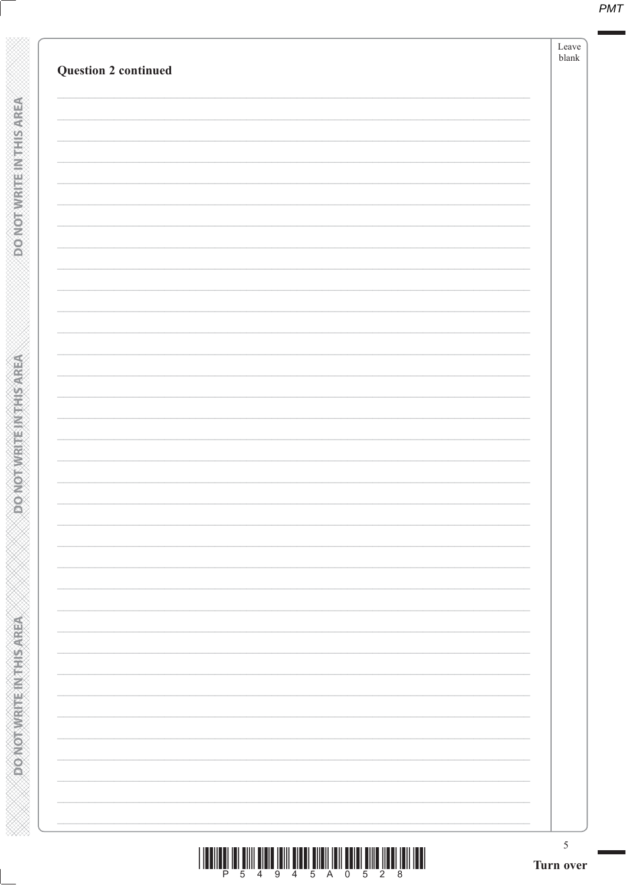| <b>Question 2 continued</b> |  |
|-----------------------------|--|
|                             |  |
|                             |  |
|                             |  |
|                             |  |
|                             |  |
|                             |  |
|                             |  |
|                             |  |
|                             |  |
|                             |  |
|                             |  |
|                             |  |
|                             |  |
|                             |  |
|                             |  |
|                             |  |
|                             |  |
|                             |  |
|                             |  |
|                             |  |
|                             |  |
|                             |  |
|                             |  |
|                             |  |
|                             |  |
|                             |  |
|                             |  |
|                             |  |
|                             |  |
|                             |  |
|                             |  |
|                             |  |
|                             |  |

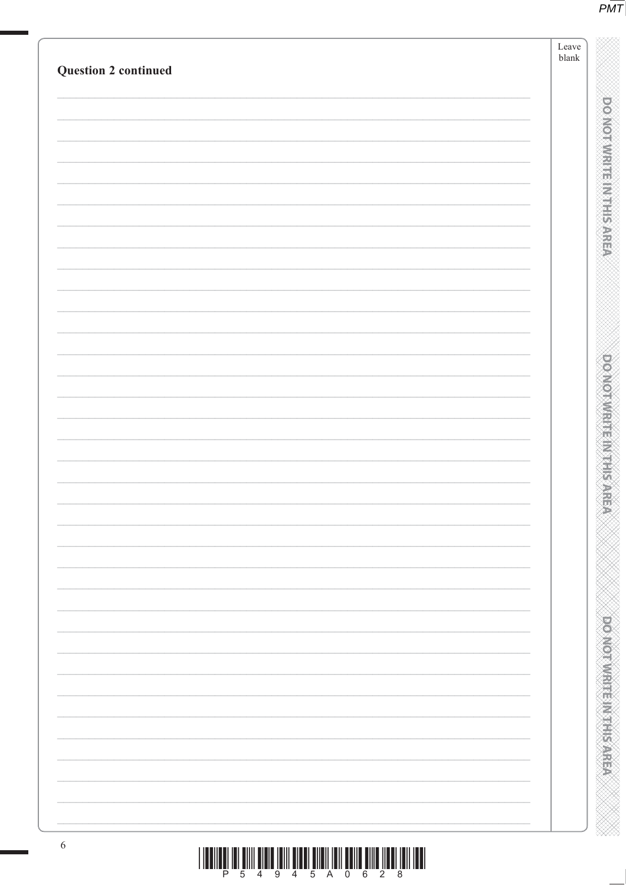|                             | Leave<br>${\tt blank}$ |
|-----------------------------|------------------------|
| <b>Question 2 continued</b> |                        |
|                             |                        |
|                             |                        |
|                             |                        |
|                             |                        |
|                             |                        |
|                             |                        |
|                             |                        |
|                             |                        |
|                             |                        |
|                             |                        |
|                             |                        |
|                             |                        |
|                             |                        |
|                             |                        |
|                             |                        |
|                             |                        |
|                             |                        |
|                             |                        |
|                             |                        |
|                             |                        |
|                             |                        |
|                             |                        |
|                             |                        |
|                             |                        |
|                             |                        |
|                             |                        |
|                             |                        |
|                             |                        |
|                             |                        |
|                             |                        |
|                             |                        |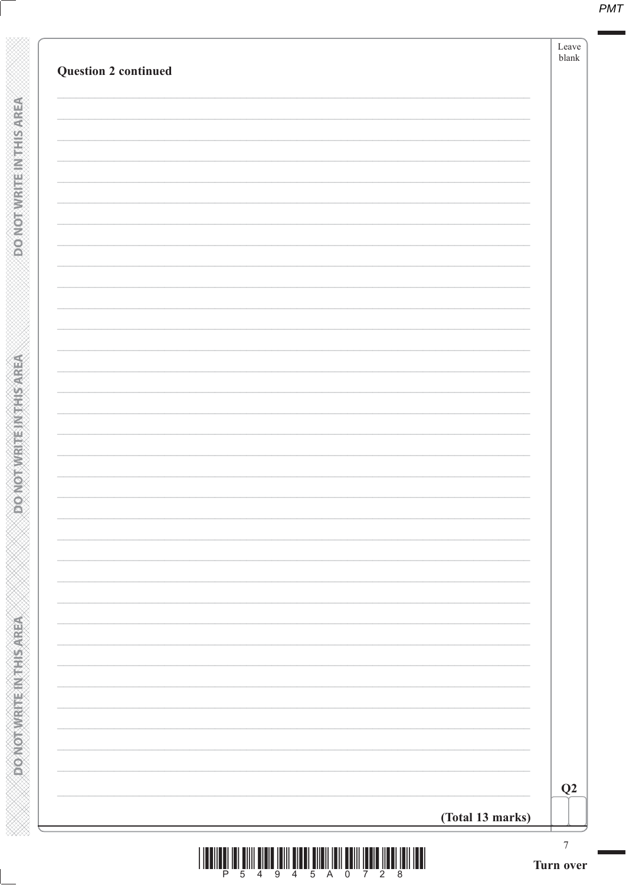| <b>Question 2 continued</b>  |                  | Leave<br>${\tt blank}$ |
|------------------------------|------------------|------------------------|
|                              |                  |                        |
|                              |                  |                        |
|                              |                  |                        |
| <b>PONOTNIE IN THIS AREA</b> |                  |                        |
|                              |                  |                        |
|                              |                  |                        |
|                              |                  |                        |
|                              |                  |                        |
|                              |                  |                        |
|                              |                  |                        |
| <b>ANOTHER HEATHER</b>       |                  |                        |
|                              |                  |                        |
|                              |                  |                        |
|                              |                  |                        |
|                              |                  |                        |
|                              |                  |                        |
|                              |                  |                        |
|                              |                  |                        |
|                              |                  |                        |
|                              |                  |                        |
|                              |                  |                        |
| <b>DONOTWEREDNITHS AREA</b>  |                  |                        |
|                              |                  |                        |
|                              |                  | Q2                     |
|                              | (Total 13 marks) |                        |
|                              |                  | 7<br>Turn over         |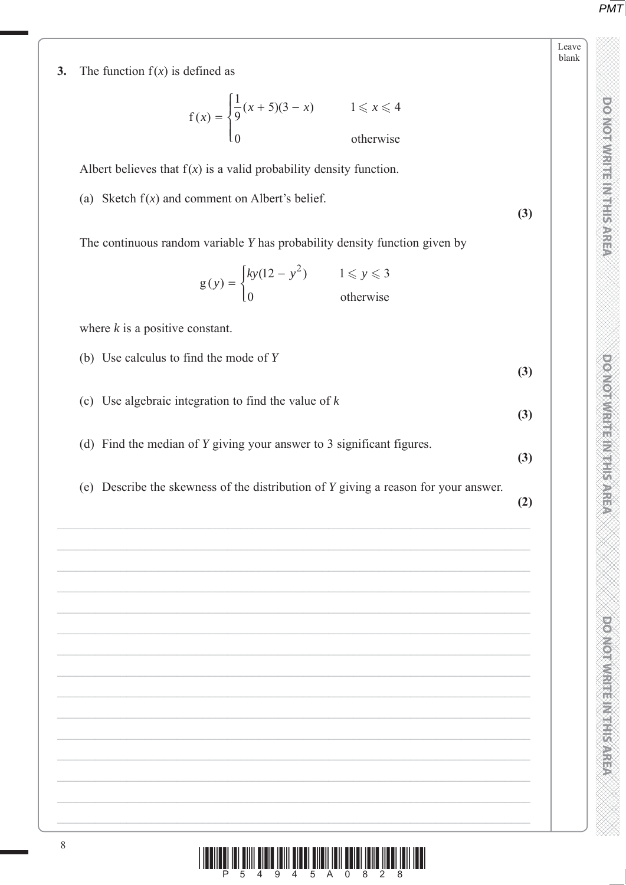DO NOT WRITE IN THIS AREA

Leave blank **TO NOT WRITE IN THE IN THIS AREA DO NOT WRITE IN THIS AREA DO NOT WRITE IN THIS AREA DO NOT WRITE IN THIS AREA DO NOT WRITE IN THE INTERNATIONAL CONTINUES. THE INTERNATIONAL CONTINUES IN THE INTERNATIONAL CONTINUES.** 

**OCTOR WRITER MARKERS** 

**DOMORATE IN ELECTRE** 

8  $\frac{1}{2}$  ,  $\frac{1}{4}$  ,  $\frac{1}{4}$  ,  $\frac{1}{9}$  ,  $\frac{1}{4}$  ,  $\frac{1}{5}$  ,  $\frac{1}{2}$  ,  $\frac{1}{8}$  ,  $\frac{1}{2}$  ,  $\frac{1}{8}$  ,  $\frac{1}{2}$  ,  $\frac{1}{8}$  ,  $\frac{1}{10}$  ,  $\frac{1}{10}$  ,  $\frac{1}{10}$ **3.** The function  $f(x)$  is defined as f otherwise  $f(x) = \begin{cases} \frac{1}{9}(x+5)(3-x) & 1 \leq x \end{cases}$  $\overline{ }$  $\lfloor$ 1 9  $5(3-x)$   $1 \leqslant x \leqslant 4$ 0  $\leqslant x \leqslant$ Albert believes that  $f(x)$  is a valid probability density function. (a) Sketch  $f(x)$  and comment on Albert's belief. **(3)** The continuous random variable *Y* has probability density function given by g otherwise  $(y) = \begin{cases} ky(12 - y^2) & 1 \le y \end{cases}$  $\overline{\mathsf{I}}$  $(12 - y^2)$   $1 \leqslant y \leqslant 3$  $\boldsymbol{0}$ <sup>2</sup>)  $1 \leqslant y \leqslant$  where *k* is a positive constant. (b) Use calculus to find the mode of *Y* **(3)** (c) Use algebraic integration to find the value of *k* **(3)** (d) Find the median of *Y* giving your answer to 3 significant figures. **(3)** (e) Describe the skewness of the distribution of *Y* giving a reason for your answer. **(2)**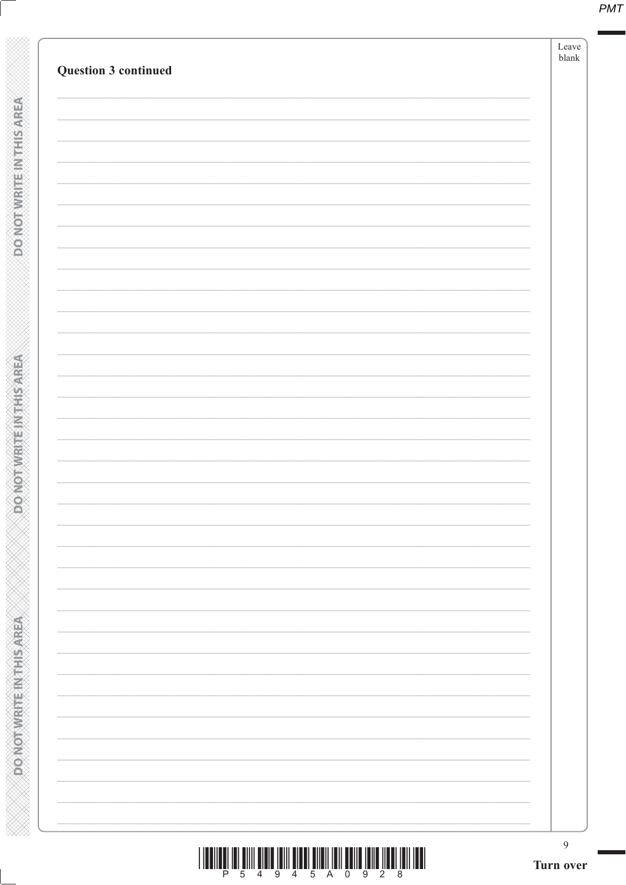| <b>Question 3 continued</b> |  |
|-----------------------------|--|
|                             |  |
|                             |  |
|                             |  |
|                             |  |
|                             |  |
|                             |  |
|                             |  |
|                             |  |
|                             |  |
|                             |  |
|                             |  |
|                             |  |
|                             |  |
|                             |  |
|                             |  |
|                             |  |
|                             |  |
|                             |  |
|                             |  |
|                             |  |
|                             |  |
|                             |  |
|                             |  |
|                             |  |
|                             |  |
|                             |  |
|                             |  |
|                             |  |
|                             |  |
|                             |  |
|                             |  |
|                             |  |
|                             |  |
|                             |  |
|                             |  |
|                             |  |

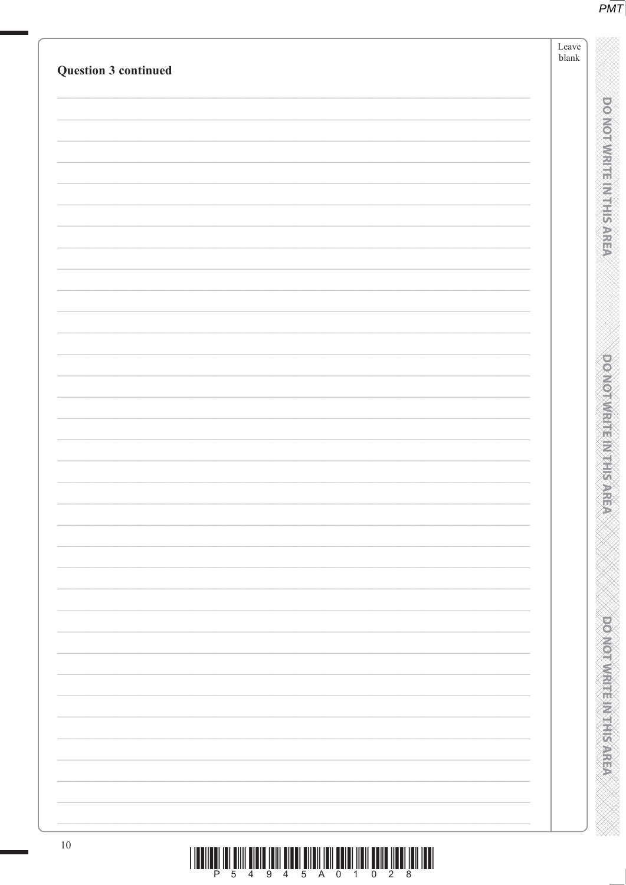| <b>Question 3 continued</b> | Leave<br>blank                |
|-----------------------------|-------------------------------|
|                             |                               |
|                             |                               |
|                             | <b>DOMORATION IS NOT</b>      |
|                             |                               |
|                             |                               |
|                             |                               |
|                             |                               |
|                             | <b>BEAT AND REAL PROPERTY</b> |
|                             |                               |
|                             | is<br>Sab                     |
|                             |                               |
|                             |                               |
|                             |                               |
|                             |                               |
|                             | portornum et Marian           |
|                             |                               |
|                             |                               |
| $10\,$                      |                               |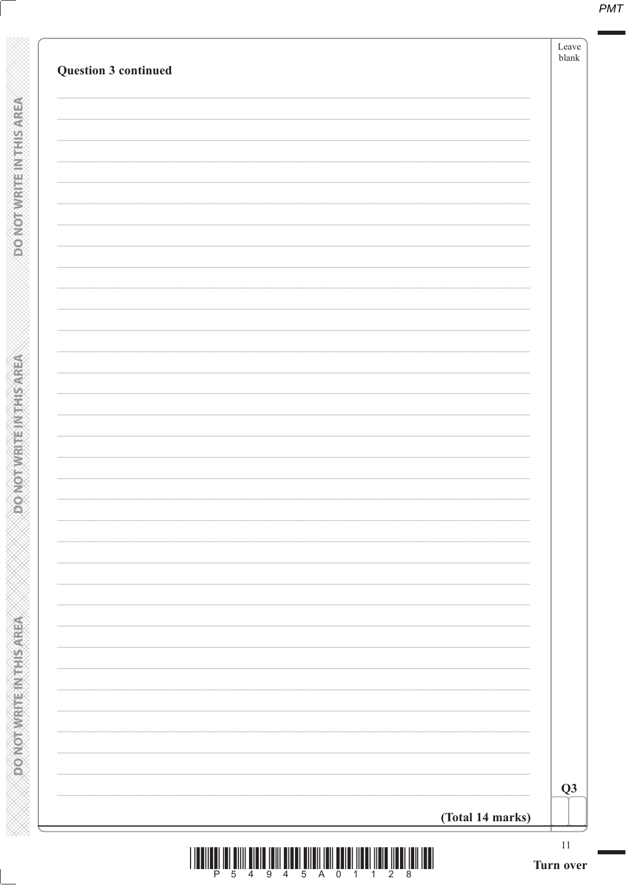| <b>Question 3 continued</b> |                  |
|-----------------------------|------------------|
|                             |                  |
|                             |                  |
|                             |                  |
|                             |                  |
|                             |                  |
|                             |                  |
|                             |                  |
|                             |                  |
|                             |                  |
|                             |                  |
|                             |                  |
|                             |                  |
|                             |                  |
|                             |                  |
|                             |                  |
|                             |                  |
|                             |                  |
|                             |                  |
|                             |                  |
|                             |                  |
|                             |                  |
|                             |                  |
|                             |                  |
|                             |                  |
|                             |                  |
|                             |                  |
|                             |                  |
|                             |                  |
|                             |                  |
|                             |                  |
|                             |                  |
|                             |                  |
|                             |                  |
|                             |                  |
|                             |                  |
|                             |                  |
|                             | (Total 14 marks) |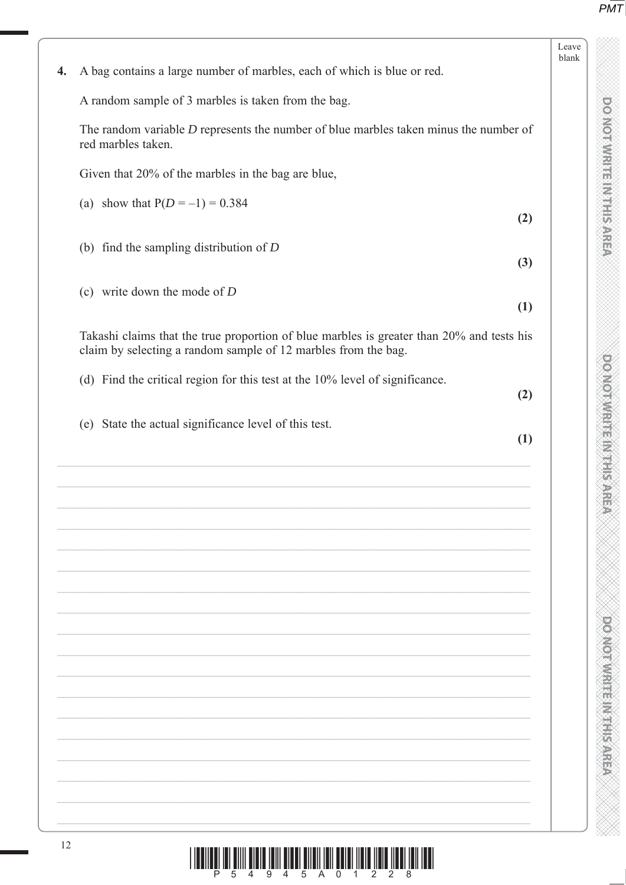DO NOT WRITE IN THIS AREA

**TO NOT WRITE IN THE IN THIS AREA DO NOT WRITE IN THIS AREA DO NOT WRITE IN THIS AREA DO NOT WRITE IN THIS AREA DO NOT WRITE IN THE INTERNATIONAL CONTINUES. THE INTERNATIONAL CONTINUES IN THE INTERNATIONAL CONTINUES.** 

**DOOMOO, WARTER IN SPACER** 

|    | A bag contains a large number of marbles, each of which is blue or red.                                                                                     |     |
|----|-------------------------------------------------------------------------------------------------------------------------------------------------------------|-----|
|    | A random sample of 3 marbles is taken from the bag.                                                                                                         |     |
|    |                                                                                                                                                             |     |
|    | The random variable $D$ represents the number of blue marbles taken minus the number of<br>red marbles taken.                                               |     |
|    | Given that 20% of the marbles in the bag are blue,                                                                                                          |     |
|    | (a) show that $P(D = -1) = 0.384$                                                                                                                           | (2) |
|    | (b) find the sampling distribution of $D$                                                                                                                   | (3) |
|    | (c) write down the mode of $D$                                                                                                                              |     |
|    |                                                                                                                                                             | (1) |
|    | Takashi claims that the true proportion of blue marbles is greater than 20% and tests his<br>claim by selecting a random sample of 12 marbles from the bag. |     |
|    | (d) Find the critical region for this test at the 10% level of significance.                                                                                | (2) |
|    | (e) State the actual significance level of this test.                                                                                                       | (1) |
|    |                                                                                                                                                             |     |
|    |                                                                                                                                                             |     |
|    |                                                                                                                                                             |     |
|    |                                                                                                                                                             |     |
|    |                                                                                                                                                             |     |
|    |                                                                                                                                                             |     |
|    |                                                                                                                                                             |     |
|    |                                                                                                                                                             |     |
|    |                                                                                                                                                             |     |
|    |                                                                                                                                                             |     |
|    |                                                                                                                                                             |     |
|    |                                                                                                                                                             |     |
|    |                                                                                                                                                             |     |
|    |                                                                                                                                                             |     |
|    |                                                                                                                                                             |     |
|    |                                                                                                                                                             |     |
| 12 |                                                                                                                                                             |     |
|    | I IOANIA II DIN BIN BIDA IBIN BIBBI BIN IN BIN BIN IN IN IN IN IN IN IN IN IN                                                                               |     |
|    |                                                                                                                                                             |     |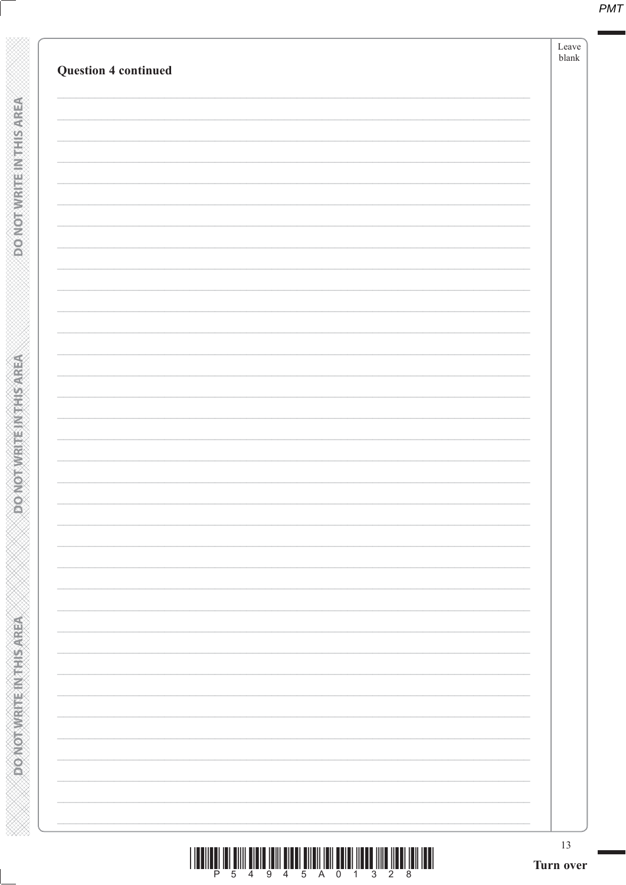|                             | ${\rm Leave}$<br>${\tt blank}$ |  |
|-----------------------------|--------------------------------|--|
| <b>Question 4 continued</b> |                                |  |
|                             |                                |  |
|                             |                                |  |
|                             |                                |  |
|                             |                                |  |
|                             |                                |  |
|                             |                                |  |
|                             |                                |  |
|                             |                                |  |
|                             |                                |  |
|                             |                                |  |
|                             |                                |  |
|                             |                                |  |
|                             |                                |  |
|                             |                                |  |
|                             |                                |  |
|                             |                                |  |
|                             |                                |  |
|                             |                                |  |
|                             |                                |  |
|                             |                                |  |
|                             |                                |  |
|                             |                                |  |
|                             |                                |  |
|                             |                                |  |
|                             |                                |  |
|                             |                                |  |
|                             |                                |  |
|                             |                                |  |
|                             |                                |  |
|                             |                                |  |
|                             |                                |  |
|                             |                                |  |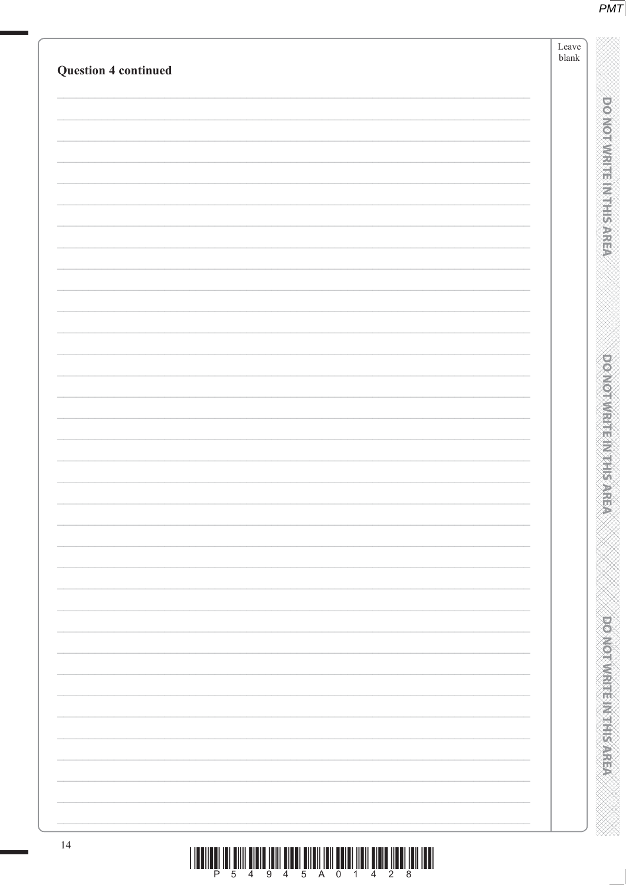|                             | $\operatorname{Leave}$<br>${\tt blank}$ |
|-----------------------------|-----------------------------------------|
| <b>Question 4 continued</b> |                                         |
|                             |                                         |
|                             |                                         |
|                             |                                         |
|                             |                                         |
|                             |                                         |
|                             |                                         |
|                             |                                         |
|                             |                                         |
|                             |                                         |
|                             |                                         |
|                             |                                         |
|                             |                                         |
|                             |                                         |
|                             |                                         |
|                             |                                         |
|                             |                                         |
|                             |                                         |
|                             |                                         |
|                             |                                         |
|                             |                                         |
|                             |                                         |
|                             |                                         |
|                             |                                         |
|                             |                                         |
|                             |                                         |
|                             |                                         |
|                             |                                         |
|                             |                                         |
|                             |                                         |
|                             |                                         |
|                             |                                         |
|                             |                                         |
|                             |                                         |
|                             |                                         |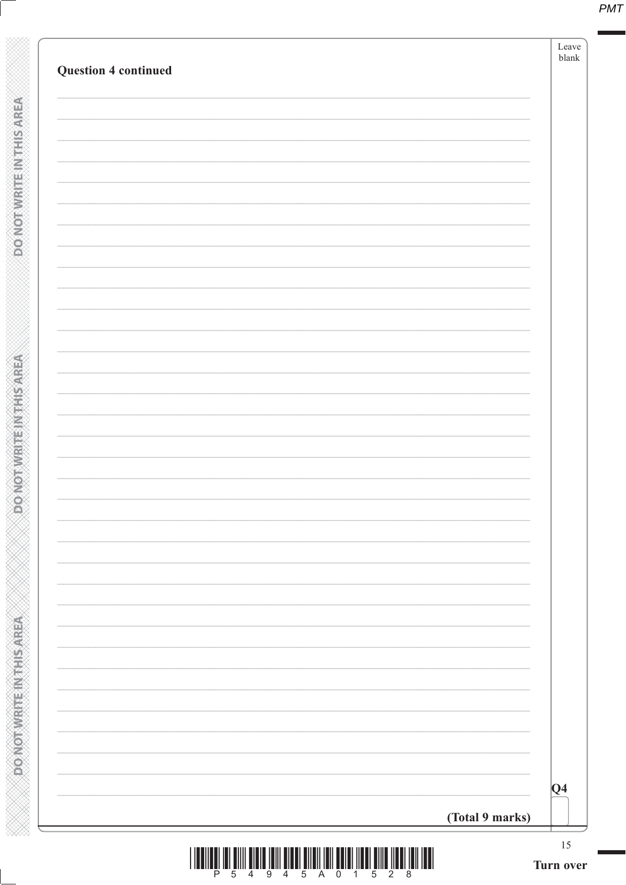| <b>Question 4 continued</b> |                                                                                                                                                                                                                                                                                                                                                                                                                                                                                 |                 |
|-----------------------------|---------------------------------------------------------------------------------------------------------------------------------------------------------------------------------------------------------------------------------------------------------------------------------------------------------------------------------------------------------------------------------------------------------------------------------------------------------------------------------|-----------------|
|                             |                                                                                                                                                                                                                                                                                                                                                                                                                                                                                 |                 |
|                             |                                                                                                                                                                                                                                                                                                                                                                                                                                                                                 |                 |
|                             |                                                                                                                                                                                                                                                                                                                                                                                                                                                                                 |                 |
|                             |                                                                                                                                                                                                                                                                                                                                                                                                                                                                                 |                 |
|                             |                                                                                                                                                                                                                                                                                                                                                                                                                                                                                 |                 |
|                             |                                                                                                                                                                                                                                                                                                                                                                                                                                                                                 |                 |
|                             |                                                                                                                                                                                                                                                                                                                                                                                                                                                                                 |                 |
|                             |                                                                                                                                                                                                                                                                                                                                                                                                                                                                                 |                 |
|                             |                                                                                                                                                                                                                                                                                                                                                                                                                                                                                 |                 |
|                             |                                                                                                                                                                                                                                                                                                                                                                                                                                                                                 |                 |
|                             |                                                                                                                                                                                                                                                                                                                                                                                                                                                                                 |                 |
|                             |                                                                                                                                                                                                                                                                                                                                                                                                                                                                                 |                 |
|                             |                                                                                                                                                                                                                                                                                                                                                                                                                                                                                 |                 |
|                             |                                                                                                                                                                                                                                                                                                                                                                                                                                                                                 |                 |
|                             |                                                                                                                                                                                                                                                                                                                                                                                                                                                                                 |                 |
|                             |                                                                                                                                                                                                                                                                                                                                                                                                                                                                                 |                 |
|                             |                                                                                                                                                                                                                                                                                                                                                                                                                                                                                 |                 |
|                             |                                                                                                                                                                                                                                                                                                                                                                                                                                                                                 |                 |
|                             |                                                                                                                                                                                                                                                                                                                                                                                                                                                                                 |                 |
|                             |                                                                                                                                                                                                                                                                                                                                                                                                                                                                                 |                 |
|                             |                                                                                                                                                                                                                                                                                                                                                                                                                                                                                 |                 |
|                             |                                                                                                                                                                                                                                                                                                                                                                                                                                                                                 |                 |
|                             |                                                                                                                                                                                                                                                                                                                                                                                                                                                                                 |                 |
|                             |                                                                                                                                                                                                                                                                                                                                                                                                                                                                                 |                 |
|                             |                                                                                                                                                                                                                                                                                                                                                                                                                                                                                 | $\overline{Q4}$ |
|                             | (Total 9 marks)                                                                                                                                                                                                                                                                                                                                                                                                                                                                 |                 |
|                             | $\begin{array}{c} \hbox{  l  l  }_p \end{array} \begin{array}{c} \hbox{  l  }_p \end{array} \begin{array}{c} \hbox{  l  }_q \end{array} \begin{array}{c} \hbox{  l  }_q \end{array} \begin{array}{c} \hbox{  l  }_q \end{array} \begin{array}{c} \hbox{  l  }_q \end{array} \begin{array}{c} \hbox{  l  }_q \end{array} \begin{array}{c} \hbox{  l  }_q \end{array} \begin{array}{c} \hbox{  l  }_q \end{array} \begin{array}{c} \hbox{  l  }_q \end{array} \begin{array}{c} \$ |                 |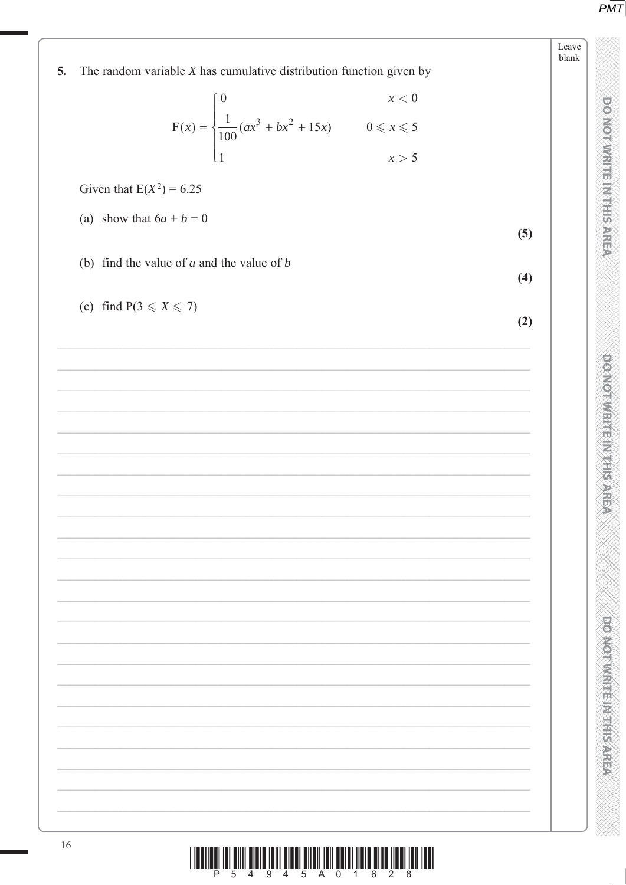DO NOT WRITE IN THIS AREA

**DONOTWRITEIN THE SARE** NAN NAN KANAN MANAN NAN NAN KANAN KANAN KAN

**DO NOT WRITE IN THIS AREA** 

| The random variable $X$ has cumulative distribution function given by<br>5.                                   |     |
|---------------------------------------------------------------------------------------------------------------|-----|
|                                                                                                               |     |
| $F(x) = \begin{cases} 0 & x < 0 \\ \frac{1}{100}(ax^3 + bx^2 + 15x) & 0 \le x \le 5 \\ 1 & x > 5 \end{cases}$ |     |
|                                                                                                               |     |
| Given that $E(X^2) = 6.25$                                                                                    |     |
| (a) show that $6a + b = 0$                                                                                    | (5) |
| (b) find the value of $a$ and the value of $b$                                                                |     |
|                                                                                                               | (4) |
| (c) find $P(3 \leq X \leq 7)$                                                                                 | (2) |
|                                                                                                               |     |
|                                                                                                               |     |
|                                                                                                               |     |
|                                                                                                               |     |
|                                                                                                               |     |
|                                                                                                               |     |
|                                                                                                               |     |
|                                                                                                               |     |
|                                                                                                               |     |
|                                                                                                               |     |
|                                                                                                               |     |
|                                                                                                               |     |
|                                                                                                               |     |
|                                                                                                               |     |
|                                                                                                               |     |
|                                                                                                               |     |
|                                                                                                               |     |
|                                                                                                               |     |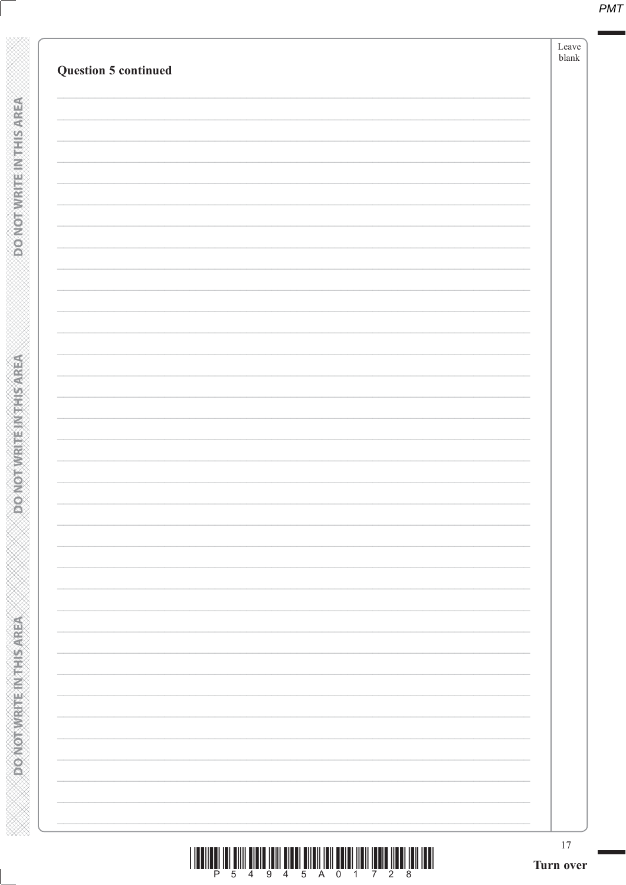| <b>Question 5 continued</b> |  |
|-----------------------------|--|
|                             |  |
|                             |  |
|                             |  |
|                             |  |
|                             |  |
|                             |  |
|                             |  |
|                             |  |
|                             |  |
|                             |  |
|                             |  |
|                             |  |
|                             |  |
|                             |  |
|                             |  |
|                             |  |
|                             |  |
|                             |  |
|                             |  |
|                             |  |
|                             |  |
|                             |  |
|                             |  |
|                             |  |
|                             |  |
|                             |  |
|                             |  |
|                             |  |
|                             |  |
|                             |  |
|                             |  |
|                             |  |
|                             |  |
|                             |  |
|                             |  |
|                             |  |
|                             |  |
|                             |  |
|                             |  |
|                             |  |
|                             |  |
|                             |  |
|                             |  |

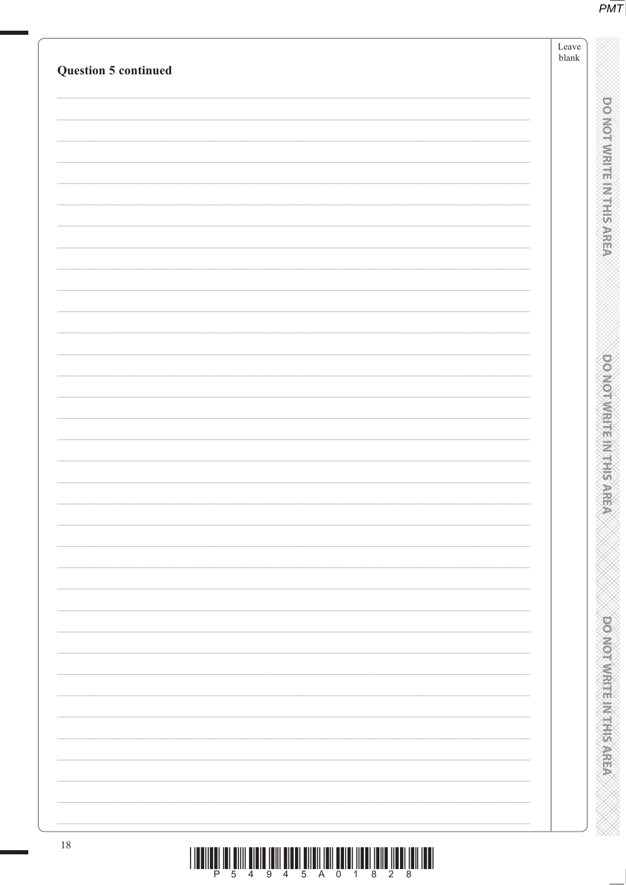|                             | $\operatorname{Leave}$<br>${\tt blank}$ |
|-----------------------------|-----------------------------------------|
| <b>Question 5 continued</b> |                                         |
|                             |                                         |
|                             |                                         |
|                             |                                         |
|                             |                                         |
|                             |                                         |
|                             |                                         |
|                             |                                         |
|                             |                                         |
|                             |                                         |
|                             |                                         |
|                             |                                         |
|                             |                                         |
|                             |                                         |
|                             |                                         |
|                             |                                         |
|                             |                                         |
|                             |                                         |
|                             |                                         |
|                             |                                         |
|                             |                                         |
|                             |                                         |
|                             |                                         |
|                             |                                         |
|                             |                                         |
|                             |                                         |
|                             |                                         |
|                             |                                         |
|                             |                                         |
|                             |                                         |
|                             |                                         |
|                             |                                         |
|                             |                                         |
|                             |                                         |
|                             |                                         |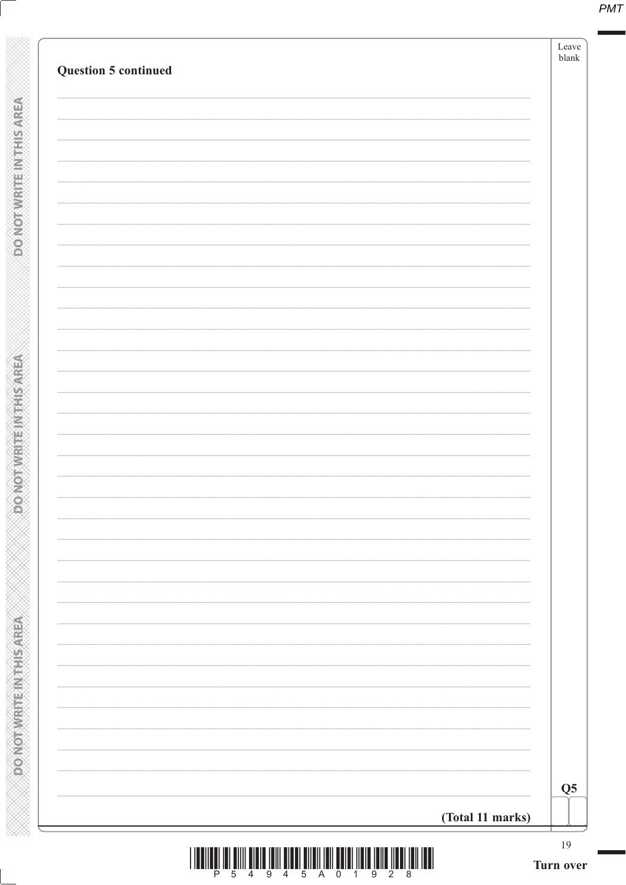| <b>Question 5 continued</b> |  |                  | $\ensuremath{\mathit{blank}}$ |
|-----------------------------|--|------------------|-------------------------------|
|                             |  |                  |                               |
|                             |  |                  |                               |
|                             |  |                  |                               |
|                             |  |                  |                               |
|                             |  |                  |                               |
|                             |  |                  |                               |
|                             |  |                  |                               |
|                             |  |                  |                               |
|                             |  |                  |                               |
|                             |  |                  |                               |
|                             |  |                  |                               |
|                             |  |                  |                               |
|                             |  |                  |                               |
|                             |  |                  |                               |
|                             |  |                  |                               |
|                             |  |                  |                               |
|                             |  |                  |                               |
|                             |  |                  |                               |
|                             |  |                  |                               |
|                             |  |                  |                               |
|                             |  |                  |                               |
|                             |  |                  |                               |
|                             |  |                  |                               |
|                             |  | (Total 11 marks) |                               |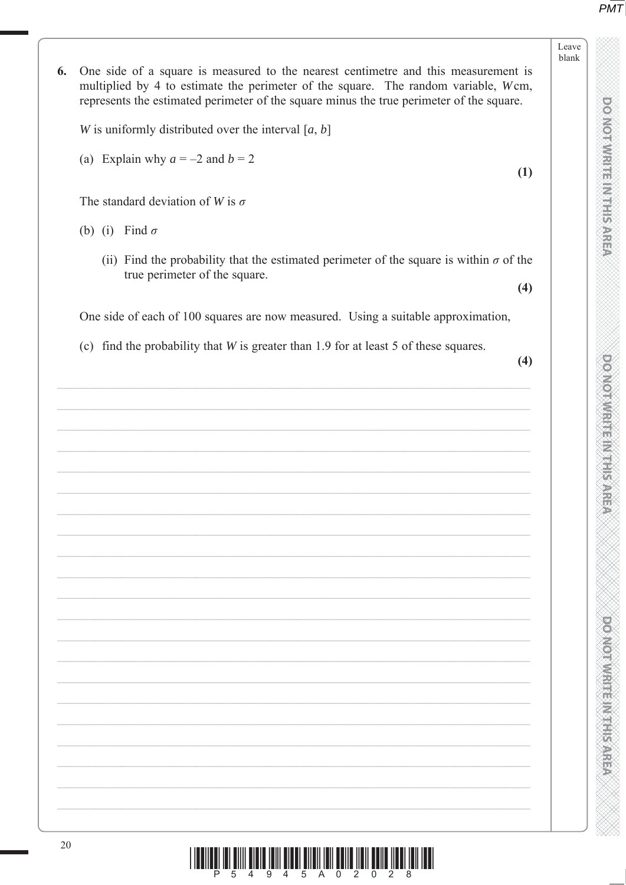Leave blank

**DOMORATION STREET** 

**PONDING MELTING** 



One side of a square is measured to the nearest centimetre and this measurement is 6. multiplied by 4 to estimate the perimeter of the square. The random variable, Wcm, represents the estimated perimeter of the square minus the true perimeter of the square.

W is uniformly distributed over the interval  $[a, b]$ 

(a) Explain why  $a = -2$  and  $b = 2$ 

The standard deviation of W is  $\sigma$ 

- (b) (i) Find  $\sigma$ 
	- (ii) Find the probability that the estimated perimeter of the square is within  $\sigma$  of the true perimeter of the square.  $(4)$

One side of each of 100 squares are now measured. Using a suitable approximation,

(c) find the probability that  $W$  is greater than 1.9 for at least 5 of these squares.

 $(1)$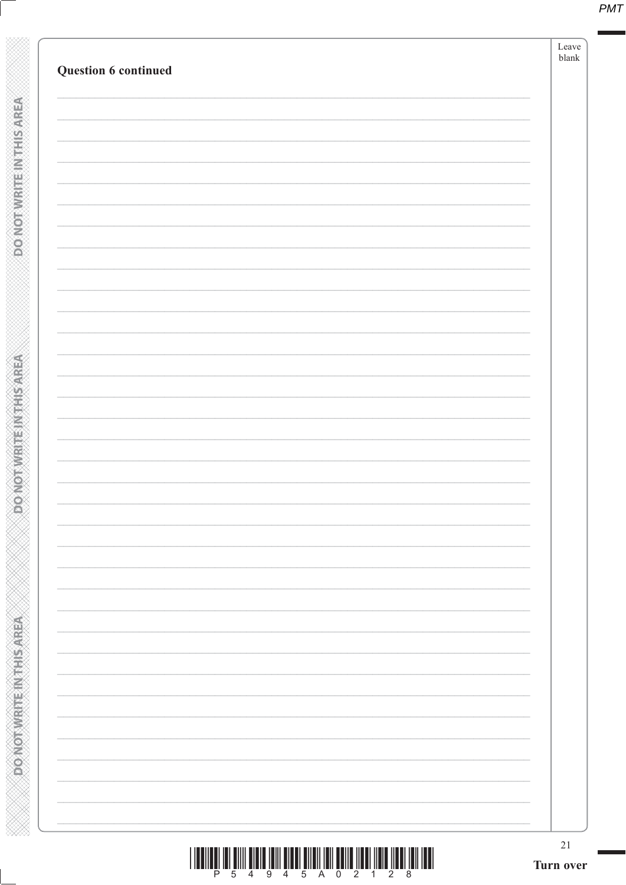| Question 6 continued |  |
|----------------------|--|
|                      |  |
|                      |  |
|                      |  |
|                      |  |
|                      |  |
|                      |  |
|                      |  |
|                      |  |
|                      |  |
|                      |  |
|                      |  |
|                      |  |
|                      |  |
|                      |  |
|                      |  |
|                      |  |
|                      |  |
|                      |  |
|                      |  |
|                      |  |
|                      |  |
|                      |  |
|                      |  |
|                      |  |
|                      |  |
|                      |  |
|                      |  |
|                      |  |
|                      |  |
|                      |  |
|                      |  |
|                      |  |

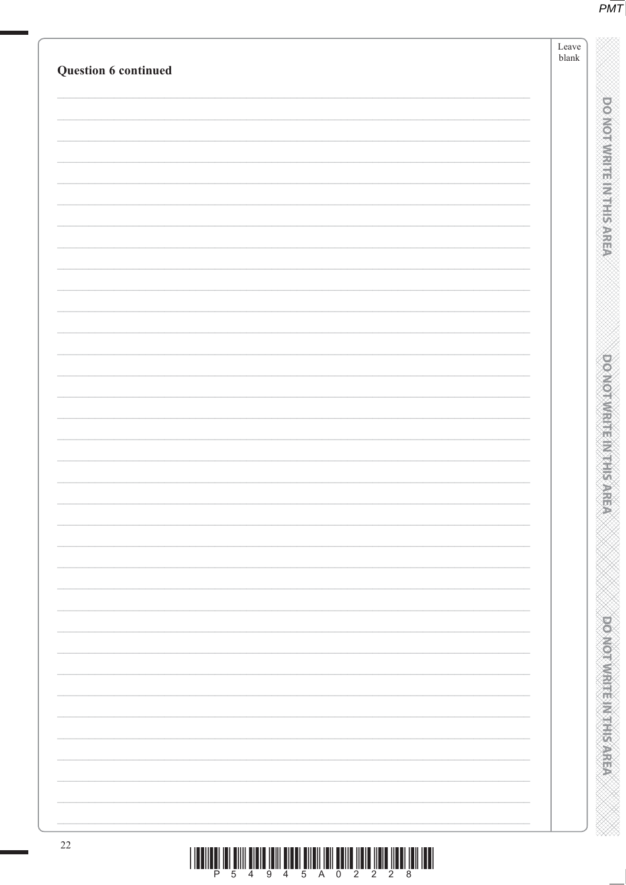| Question 6 continued | Leave<br>$b$ lank |                                |
|----------------------|-------------------|--------------------------------|
|                      |                   |                                |
|                      |                   | <b>DOMORATION IS NOT</b>       |
|                      |                   |                                |
|                      |                   |                                |
|                      |                   |                                |
|                      |                   |                                |
|                      |                   |                                |
|                      |                   |                                |
|                      |                   |                                |
|                      |                   |                                |
|                      |                   |                                |
|                      |                   |                                |
|                      |                   |                                |
|                      |                   |                                |
|                      |                   |                                |
|                      |                   |                                |
|                      |                   |                                |
|                      |                   |                                |
|                      |                   |                                |
|                      |                   |                                |
|                      |                   |                                |
|                      |                   |                                |
|                      |                   |                                |
|                      |                   | <b>PONOTAVARIE MARTIS AREA</b> |
|                      |                   |                                |
|                      |                   |                                |
|                      |                   |                                |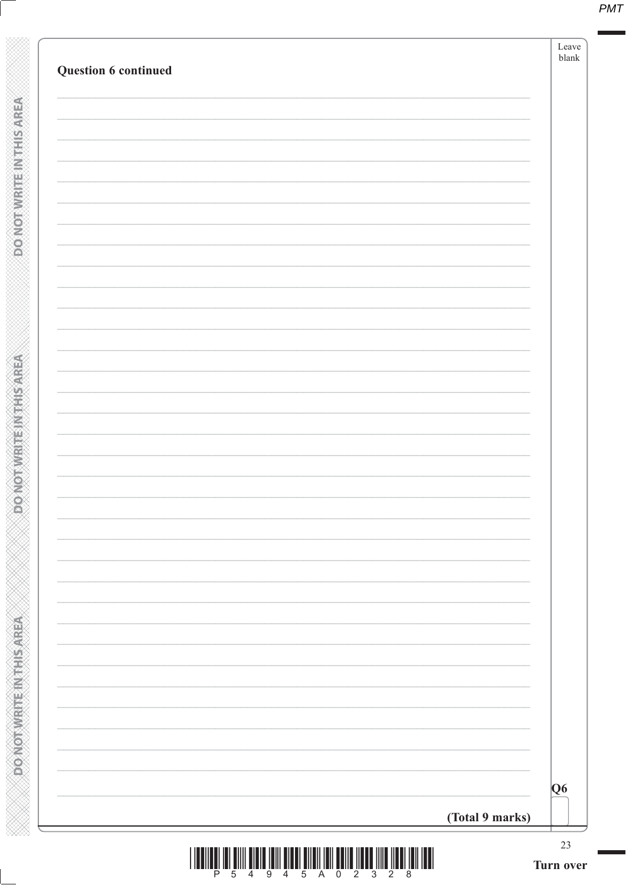| Question 6 continued |                                                                                                                                                                                                                                                                                                                                                                                                                                                               | Leave<br>$b$ lank        |
|----------------------|---------------------------------------------------------------------------------------------------------------------------------------------------------------------------------------------------------------------------------------------------------------------------------------------------------------------------------------------------------------------------------------------------------------------------------------------------------------|--------------------------|
|                      |                                                                                                                                                                                                                                                                                                                                                                                                                                                               |                          |
|                      |                                                                                                                                                                                                                                                                                                                                                                                                                                                               |                          |
|                      |                                                                                                                                                                                                                                                                                                                                                                                                                                                               |                          |
|                      |                                                                                                                                                                                                                                                                                                                                                                                                                                                               |                          |
|                      |                                                                                                                                                                                                                                                                                                                                                                                                                                                               |                          |
|                      |                                                                                                                                                                                                                                                                                                                                                                                                                                                               |                          |
|                      |                                                                                                                                                                                                                                                                                                                                                                                                                                                               |                          |
|                      |                                                                                                                                                                                                                                                                                                                                                                                                                                                               |                          |
|                      |                                                                                                                                                                                                                                                                                                                                                                                                                                                               |                          |
|                      |                                                                                                                                                                                                                                                                                                                                                                                                                                                               |                          |
|                      |                                                                                                                                                                                                                                                                                                                                                                                                                                                               |                          |
|                      |                                                                                                                                                                                                                                                                                                                                                                                                                                                               |                          |
|                      |                                                                                                                                                                                                                                                                                                                                                                                                                                                               |                          |
|                      |                                                                                                                                                                                                                                                                                                                                                                                                                                                               |                          |
|                      |                                                                                                                                                                                                                                                                                                                                                                                                                                                               |                          |
|                      |                                                                                                                                                                                                                                                                                                                                                                                                                                                               |                          |
|                      |                                                                                                                                                                                                                                                                                                                                                                                                                                                               |                          |
|                      |                                                                                                                                                                                                                                                                                                                                                                                                                                                               |                          |
|                      |                                                                                                                                                                                                                                                                                                                                                                                                                                                               |                          |
|                      |                                                                                                                                                                                                                                                                                                                                                                                                                                                               |                          |
|                      |                                                                                                                                                                                                                                                                                                                                                                                                                                                               |                          |
|                      |                                                                                                                                                                                                                                                                                                                                                                                                                                                               |                          |
|                      |                                                                                                                                                                                                                                                                                                                                                                                                                                                               |                          |
|                      |                                                                                                                                                                                                                                                                                                                                                                                                                                                               | $\overline{\textbf{Q6}}$ |
|                      | (Total 9 marks)                                                                                                                                                                                                                                                                                                                                                                                                                                               |                          |
|                      | $\begin{array}{c} \text{if} \ \text{if} \ \text{if} \ \text{if} \ \text{if} \ \text{if} \ \text{if} \ \text{if} \ \text{if} \ \text{if} \ \text{if} \ \text{if} \ \text{if} \ \text{if} \ \text{if} \ \text{if} \ \text{if} \ \text{if} \ \text{if} \ \text{if} \ \text{if} \ \text{if} \ \text{if} \ \text{if} \ \text{if} \ \text{if} \ \text{if} \ \text{if} \ \text{if} \ \text{if} \ \text{if} \ \text{if} \ \text{if} \ \text{if} \ \text{if} \ \text{$ | 23                       |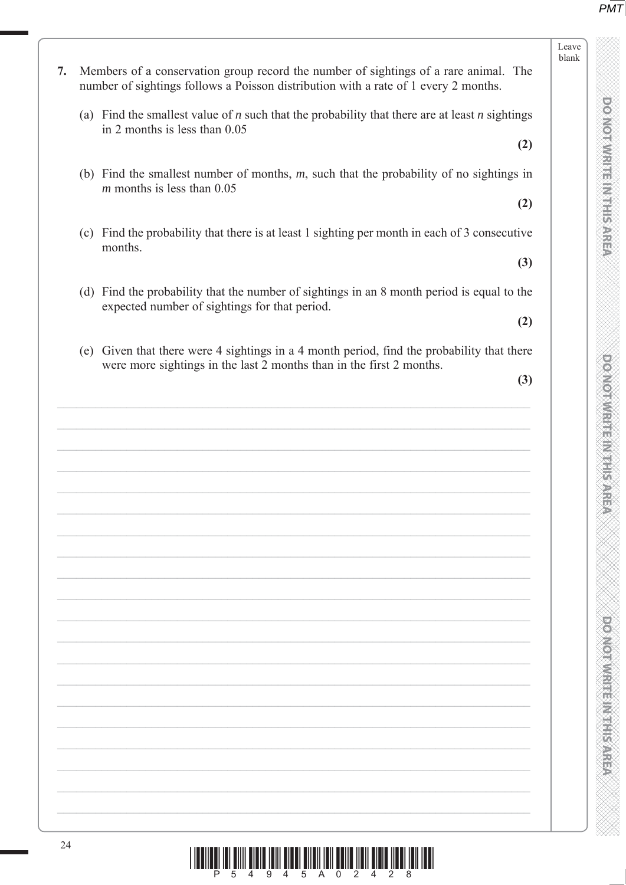|     | (a) Find the smallest value of $n$ such that the probability that there are at least $n$ sightings<br>in 2 months is less than $0.05$                          |  |
|-----|----------------------------------------------------------------------------------------------------------------------------------------------------------------|--|
|     | (2)                                                                                                                                                            |  |
|     | (b) Find the smallest number of months, $m$ , such that the probability of no sightings in<br>$m$ months is less than 0.05                                     |  |
|     | (2)                                                                                                                                                            |  |
|     | (c) Find the probability that there is at least 1 sighting per month in each of 3 consecutive<br>months.                                                       |  |
|     | (3)                                                                                                                                                            |  |
|     | (d) Find the probability that the number of sightings in an 8 month period is equal to the<br>expected number of sightings for that period.                    |  |
|     | (2)                                                                                                                                                            |  |
| (e) | Given that there were 4 sightings in a 4 month period, find the probability that there<br>were more sightings in the last 2 months than in the first 2 months. |  |
|     | (3)                                                                                                                                                            |  |
|     |                                                                                                                                                                |  |
|     |                                                                                                                                                                |  |
|     |                                                                                                                                                                |  |
|     |                                                                                                                                                                |  |
|     |                                                                                                                                                                |  |
|     |                                                                                                                                                                |  |
|     |                                                                                                                                                                |  |
|     |                                                                                                                                                                |  |
|     |                                                                                                                                                                |  |
|     |                                                                                                                                                                |  |
|     |                                                                                                                                                                |  |
|     |                                                                                                                                                                |  |
|     |                                                                                                                                                                |  |
|     |                                                                                                                                                                |  |
|     |                                                                                                                                                                |  |
|     |                                                                                                                                                                |  |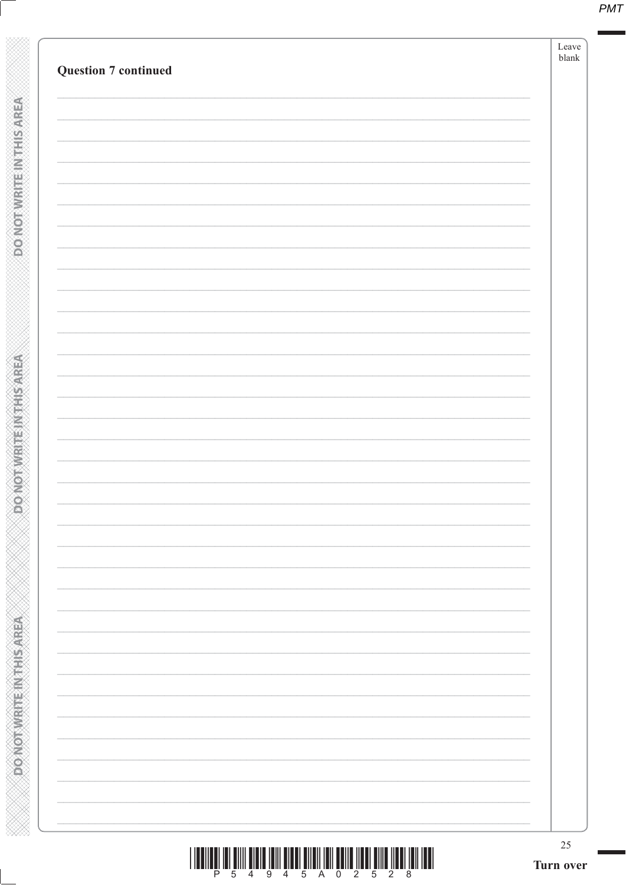| <b>Question 7 continued</b> |  |
|-----------------------------|--|
|                             |  |
|                             |  |
|                             |  |
|                             |  |
|                             |  |
|                             |  |
|                             |  |
|                             |  |
|                             |  |
|                             |  |
|                             |  |
|                             |  |
|                             |  |
|                             |  |
|                             |  |
|                             |  |
|                             |  |
|                             |  |
|                             |  |
|                             |  |
|                             |  |
|                             |  |
|                             |  |
|                             |  |
|                             |  |
|                             |  |
|                             |  |
|                             |  |
|                             |  |
|                             |  |
|                             |  |
|                             |  |
|                             |  |
|                             |  |
|                             |  |
|                             |  |
|                             |  |

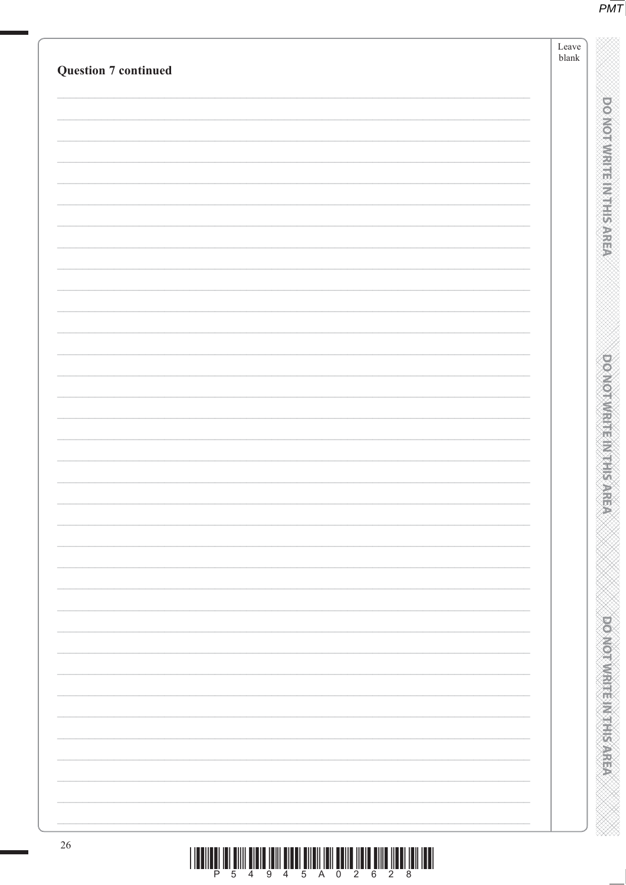| <b>Question 7 continued</b> | Leave<br>blank |
|-----------------------------|----------------|
|                             |                |
|                             |                |
|                             |                |
|                             |                |
|                             |                |
|                             |                |
|                             |                |
|                             |                |
|                             |                |
|                             |                |
|                             |                |
|                             |                |
|                             |                |
|                             |                |
|                             |                |
|                             |                |
|                             |                |
|                             |                |
|                             |                |
|                             |                |
|                             |                |
|                             |                |
|                             |                |
|                             |                |
|                             |                |
|                             |                |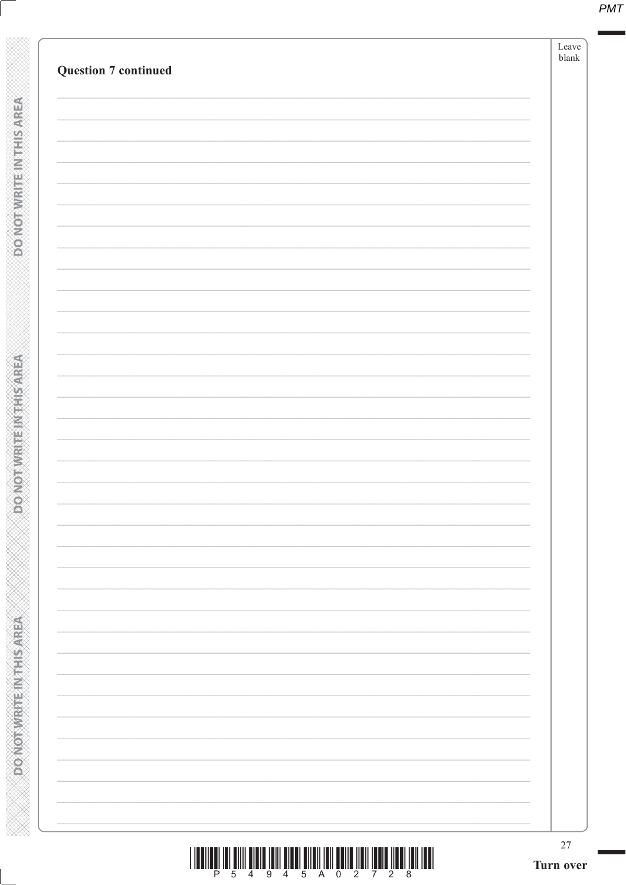| <b>Question 7 continued</b> |  |
|-----------------------------|--|
|                             |  |
|                             |  |
|                             |  |
|                             |  |
|                             |  |
|                             |  |
|                             |  |
|                             |  |
|                             |  |
|                             |  |
|                             |  |
|                             |  |
|                             |  |
|                             |  |
|                             |  |
|                             |  |
|                             |  |
|                             |  |
|                             |  |
|                             |  |
|                             |  |
|                             |  |
|                             |  |
|                             |  |
|                             |  |
|                             |  |
|                             |  |
|                             |  |
|                             |  |
|                             |  |
|                             |  |
|                             |  |
|                             |  |